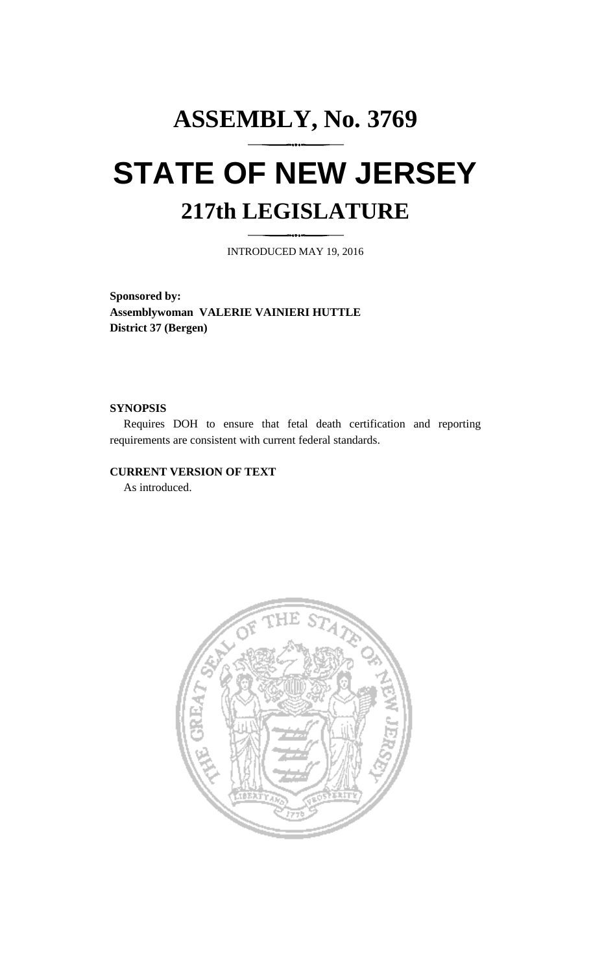# **ASSEMBLY, No. 3769 STATE OF NEW JERSEY 217th LEGISLATURE**

INTRODUCED MAY 19, 2016

**Sponsored by: Assemblywoman VALERIE VAINIERI HUTTLE District 37 (Bergen)**

### **SYNOPSIS**

Requires DOH to ensure that fetal death certification and reporting requirements are consistent with current federal standards.

# **CURRENT VERSION OF TEXT**

As introduced.

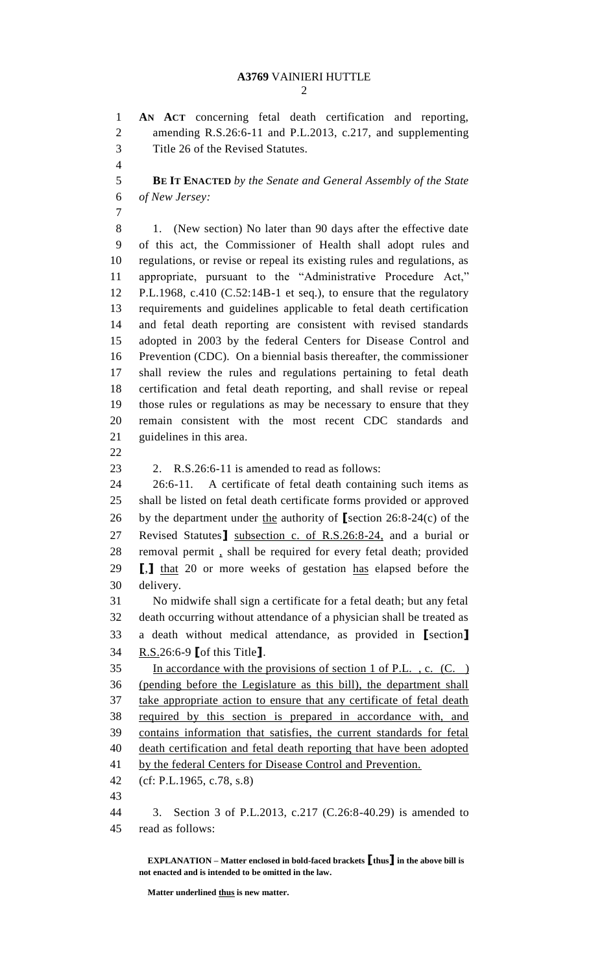**AN ACT** concerning fetal death certification and reporting,

 amending R.S.26:6-11 and P.L.2013, c.217, and supplementing Title 26 of the Revised Statutes. **BE IT ENACTED** *by the Senate and General Assembly of the State of New Jersey:* 8 1. (New section) No later than 90 days after the effective date of this act, the Commissioner of Health shall adopt rules and regulations, or revise or repeal its existing rules and regulations, as appropriate, pursuant to the "Administrative Procedure Act," P.L.1968, c.410 (C.52:14B-1 et seq.), to ensure that the regulatory requirements and guidelines applicable to fetal death certification and fetal death reporting are consistent with revised standards adopted in 2003 by the federal Centers for Disease Control and Prevention (CDC). On a biennial basis thereafter, the commissioner shall review the rules and regulations pertaining to fetal death certification and fetal death reporting, and shall revise or repeal those rules or regulations as may be necessary to ensure that they remain consistent with the most recent CDC standards and guidelines in this area. 2. R.S.26:6-11 is amended to read as follows: 26:6-11. A certificate of fetal death containing such items as shall be listed on fetal death certificate forms provided or approved by the department under the authority of **[**section 26:8-24(c) of the Revised Statutes**]** subsection c. of R.S.26:8-24, and a burial or

- removal permit , shall be required for every fetal death; provided **[**,**]** that 20 or more weeks of gestation has elapsed before the delivery. No midwife shall sign a certificate for a fetal death; but any fetal death occurring without attendance of a physician shall be treated as a death without medical attendance, as provided in **[**section**]**
- R.S.26:6-9 **[**of this Title**]**.

 In accordance with the provisions of section 1 of P.L. , c. (C. ) (pending before the Legislature as this bill), the department shall take appropriate action to ensure that any certificate of fetal death required by this section is prepared in accordance with, and contains information that satisfies, the current standards for fetal death certification and fetal death reporting that have been adopted 41 by the federal Centers for Disease Control and Prevention. (cf: P.L.1965, c.78, s.8)

 3. Section 3 of P.L.2013, c.217 (C.26:8-40.29) is amended to read as follows:

**EXPLANATION – Matter enclosed in bold-faced brackets [thus] in the above bill is not enacted and is intended to be omitted in the law.**

**Matter underlined thus is new matter.**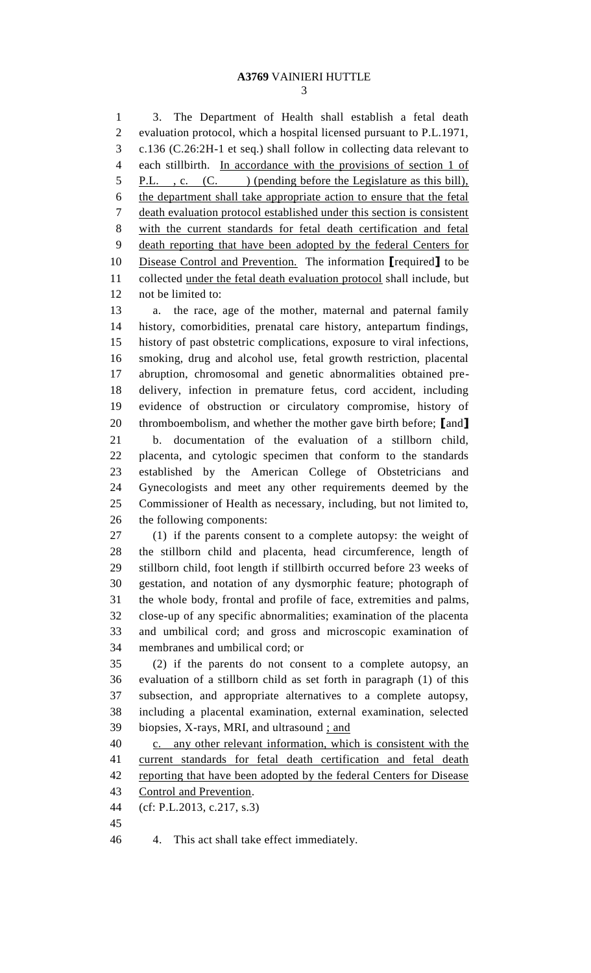# **A3769** VAINIERI HUTTLE

 3. The Department of Health shall establish a fetal death evaluation protocol, which a hospital licensed pursuant to P.L.1971, c.136 (C.26:2H-1 et seq.) shall follow in collecting data relevant to each stillbirth. In accordance with the provisions of section 1 of 5 P.L., c. (C.) (pending before the Legislature as this bill), the department shall take appropriate action to ensure that the fetal death evaluation protocol established under this section is consistent with the current standards for fetal death certification and fetal death reporting that have been adopted by the federal Centers for Disease Control and Prevention. The information **[**required**]** to be collected under the fetal death evaluation protocol shall include, but not be limited to: a. the race, age of the mother, maternal and paternal family history, comorbidities, prenatal care history, antepartum findings, history of past obstetric complications, exposure to viral infections, smoking, drug and alcohol use, fetal growth restriction, placental abruption, chromosomal and genetic abnormalities obtained pre-delivery, infection in premature fetus, cord accident, including

 evidence of obstruction or circulatory compromise, history of thromboembolism, and whether the mother gave birth before; **[**and**]** b. documentation of the evaluation of a stillborn child, placenta, and cytologic specimen that conform to the standards established by the American College of Obstetricians and Gynecologists and meet any other requirements deemed by the Commissioner of Health as necessary, including, but not limited to, the following components:

 (1) if the parents consent to a complete autopsy: the weight of the stillborn child and placenta, head circumference, length of stillborn child, foot length if stillbirth occurred before 23 weeks of gestation, and notation of any dysmorphic feature; photograph of the whole body, frontal and profile of face, extremities and palms, close-up of any specific abnormalities; examination of the placenta and umbilical cord; and gross and microscopic examination of membranes and umbilical cord; or

 (2) if the parents do not consent to a complete autopsy, an evaluation of a stillborn child as set forth in paragraph (1) of this subsection, and appropriate alternatives to a complete autopsy, including a placental examination, external examination, selected biopsies, X-rays, MRI, and ultrasound ; and

 c. any other relevant information, which is consistent with the current standards for fetal death certification and fetal death 42 reporting that have been adopted by the federal Centers for Disease Control and Prevention.

- (cf: P.L.2013, c.217, s.3)
- 

4. This act shall take effect immediately.